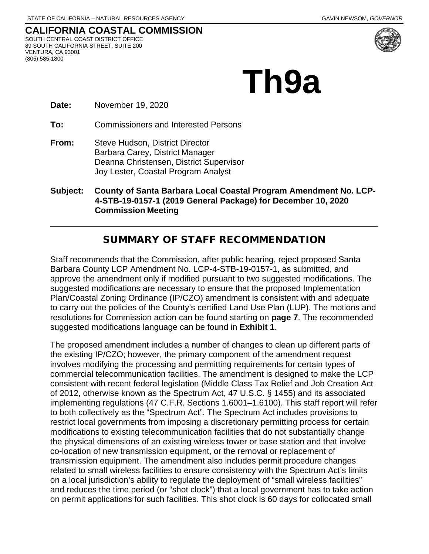#### **CALIFORNIA COASTAL COMMISSION** SOUTH CENTRAL COAST DISTRICT OFFICE 89 SOUTH CALIFORNIA STREET, SUITE 200 VENTURA, CA 93001

(805) 585-1800



**Th9a** 

**Date:** November 19, 2020

**To:** Commissioners and Interested Persons

**From:** Steve Hudson, District Director Barbara Carey, District Manager Deanna Christensen, District Supervisor Joy Lester, Coastal Program Analyst

**Subject: County of Santa Barbara Local Coastal Program Amendment No. LCP-4-STB-19-0157-1 (2019 General Package) for December 10, 2020 Commission Meeting**

### SUMMARY OF STAFF RECOMMENDATION

Staff recommends that the Commission, after public hearing, reject proposed Santa Barbara County LCP Amendment No. LCP-4-STB-19-0157-1, as submitted, and approve the amendment only if modified pursuant to two suggested modifications. The suggested modifications are necessary to ensure that the proposed Implementation Plan/Coastal Zoning Ordinance (IP/CZO) amendment is consistent with and adequate to carry out the policies of the County's certified Land Use Plan (LUP). The motions and resolutions for Commission action can be found starting on **page 7**. The recommended suggested modifications language can be found in **Exhibit 1**.

The proposed amendment includes a number of changes to clean up different parts of the existing IP/CZO; however, the primary component of the amendment request involves modifying the processing and permitting requirements for certain types of commercial telecommunication facilities. The amendment is designed to make the LCP consistent with recent federal legislation (Middle Class Tax Relief and Job Creation Act of 2012, otherwise known as the Spectrum Act, 47 U.S.C. § 1455) and its associated implementing regulations (47 C.F.R. Sections 1.6001–1.6100). This staff report will refer to both collectively as the "Spectrum Act". The Spectrum Act includes provisions to restrict local governments from imposing a discretionary permitting process for certain modifications to existing telecommunication facilities that do not substantially change the physical dimensions of an existing wireless tower or base station and that involve co-location of new transmission equipment, or the removal or replacement of transmission equipment. The amendment also includes permit procedure changes related to small wireless facilities to ensure consistency with the Spectrum Act's limits on a local jurisdiction's ability to regulate the deployment of "small wireless facilities" and reduces the time period (or "shot clock") that a local government has to take action on permit applications for such facilities. This shot clock is 60 days for collocated small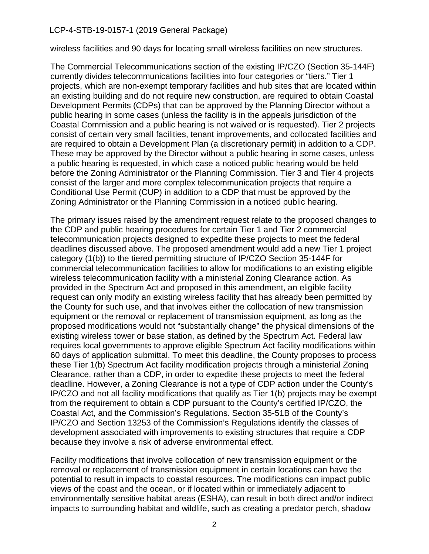wireless facilities and 90 days for locating small wireless facilities on new structures.

The Commercial Telecommunications section of the existing IP/CZO (Section 35-144F) currently divides telecommunications facilities into four categories or "tiers." Tier 1 projects, which are non-exempt temporary facilities and hub sites that are located within an existing building and do not require new construction, are required to obtain Coastal Development Permits (CDPs) that can be approved by the Planning Director without a public hearing in some cases (unless the facility is in the appeals jurisdiction of the Coastal Commission and a public hearing is not waived or is requested). Tier 2 projects consist of certain very small facilities, tenant improvements, and collocated facilities and are required to obtain a Development Plan (a discretionary permit) in addition to a CDP. These may be approved by the Director without a public hearing in some cases, unless a public hearing is requested, in which case a noticed public hearing would be held before the Zoning Administrator or the Planning Commission. Tier 3 and Tier 4 projects consist of the larger and more complex telecommunication projects that require a Conditional Use Permit (CUP) in addition to a CDP that must be approved by the Zoning Administrator or the Planning Commission in a noticed public hearing.

The primary issues raised by the amendment request relate to the proposed changes to the CDP and public hearing procedures for certain Tier 1 and Tier 2 commercial telecommunication projects designed to expedite these projects to meet the federal deadlines discussed above. The proposed amendment would add a new Tier 1 project category (1(b)) to the tiered permitting structure of IP/CZO Section 35-144F for commercial telecommunication facilities to allow for modifications to an existing eligible wireless telecommunication facility with a ministerial Zoning Clearance action. As provided in the Spectrum Act and proposed in this amendment, an eligible facility request can only modify an existing wireless facility that has already been permitted by the County for such use, and that involves either the collocation of new transmission equipment or the removal or replacement of transmission equipment, as long as the proposed modifications would not "substantially change" the physical dimensions of the existing wireless tower or base station, as defined by the Spectrum Act. Federal law requires local governments to approve eligible Spectrum Act facility modifications within 60 days of application submittal. To meet this deadline, the County proposes to process these Tier 1(b) Spectrum Act facility modification projects through a ministerial Zoning Clearance, rather than a CDP, in order to expedite these projects to meet the federal deadline. However, a Zoning Clearance is not a type of CDP action under the County's IP/CZO and not all facility modifications that qualify as Tier 1(b) projects may be exempt from the requirement to obtain a CDP pursuant to the County's certified IP/CZO, the Coastal Act, and the Commission's Regulations. Section 35-51B of the County's IP/CZO and Section 13253 of the Commission's Regulations identify the classes of development associated with improvements to existing structures that require a CDP because they involve a risk of adverse environmental effect.

Facility modifications that involve collocation of new transmission equipment or the removal or replacement of transmission equipment in certain locations can have the potential to result in impacts to coastal resources. The modifications can impact public views of the coast and the ocean, or if located within or immediately adjacent to environmentally sensitive habitat areas (ESHA), can result in both direct and/or indirect impacts to surrounding habitat and wildlife, such as creating a predator perch, shadow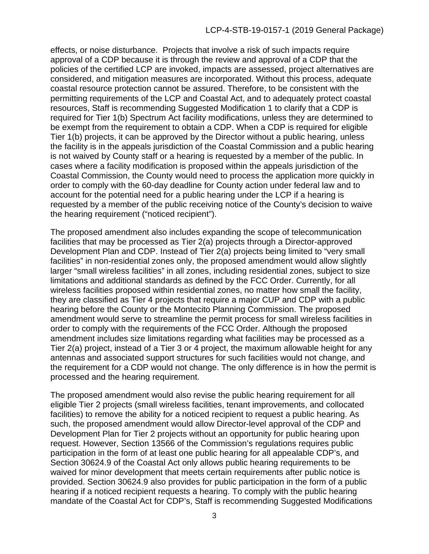effects, or noise disturbance. Projects that involve a risk of such impacts require approval of a CDP because it is through the review and approval of a CDP that the policies of the certified LCP are invoked, impacts are assessed, project alternatives are considered, and mitigation measures are incorporated. Without this process, adequate coastal resource protection cannot be assured. Therefore, to be consistent with the permitting requirements of the LCP and Coastal Act, and to adequately protect coastal resources, Staff is recommending Suggested Modification 1 to clarify that a CDP is required for Tier 1(b) Spectrum Act facility modifications, unless they are determined to be exempt from the requirement to obtain a CDP. When a CDP is required for eligible Tier 1(b) projects, it can be approved by the Director without a public hearing, unless the facility is in the appeals jurisdiction of the Coastal Commission and a public hearing is not waived by County staff or a hearing is requested by a member of the public. In cases where a facility modification is proposed within the appeals jurisdiction of the Coastal Commission, the County would need to process the application more quickly in order to comply with the 60-day deadline for County action under federal law and to account for the potential need for a public hearing under the LCP if a hearing is requested by a member of the public receiving notice of the County's decision to waive the hearing requirement ("noticed recipient").

The proposed amendment also includes expanding the scope of telecommunication facilities that may be processed as Tier 2(a) projects through a Director-approved Development Plan and CDP. Instead of Tier 2(a) projects being limited to "very small facilities" in non-residential zones only, the proposed amendment would allow slightly larger "small wireless facilities" in all zones, including residential zones, subject to size limitations and additional standards as defined by the FCC Order. Currently, for all wireless facilities proposed within residential zones, no matter how small the facility, they are classified as Tier 4 projects that require a major CUP and CDP with a public hearing before the County or the Montecito Planning Commission. The proposed amendment would serve to streamline the permit process for small wireless facilities in order to comply with the requirements of the FCC Order. Although the proposed amendment includes size limitations regarding what facilities may be processed as a Tier 2(a) project, instead of a Tier 3 or 4 project, the maximum allowable height for any antennas and associated support structures for such facilities would not change, and the requirement for a CDP would not change. The only difference is in how the permit is processed and the hearing requirement.

The proposed amendment would also revise the public hearing requirement for all eligible Tier 2 projects (small wireless facilities, tenant improvements, and collocated facilities) to remove the ability for a noticed recipient to request a public hearing. As such, the proposed amendment would allow Director-level approval of the CDP and Development Plan for Tier 2 projects without an opportunity for public hearing upon request. However, Section 13566 of the Commission's regulations requires public participation in the form of at least one public hearing for all appealable CDP's, and Section 30624.9 of the Coastal Act only allows public hearing requirements to be waived for minor development that meets certain requirements after public notice is provided. Section 30624.9 also provides for public participation in the form of a public hearing if a noticed recipient requests a hearing. To comply with the public hearing mandate of the Coastal Act for CDP's, Staff is recommending Suggested Modifications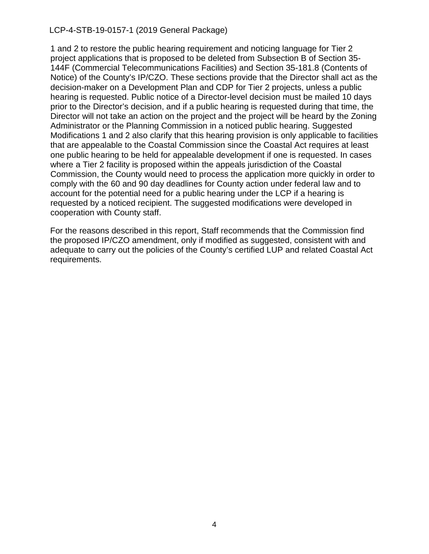1 and 2 to restore the public hearing requirement and noticing language for Tier 2 project applications that is proposed to be deleted from Subsection B of Section 35- 144F (Commercial Telecommunications Facilities) and Section 35-181.8 (Contents of Notice) of the County's IP/CZO. These sections provide that the Director shall act as the decision-maker on a Development Plan and CDP for Tier 2 projects, unless a public hearing is requested. Public notice of a Director-level decision must be mailed 10 days prior to the Director's decision, and if a public hearing is requested during that time, the Director will not take an action on the project and the project will be heard by the Zoning Administrator or the Planning Commission in a noticed public hearing. Suggested Modifications 1 and 2 also clarify that this hearing provision is only applicable to facilities that are appealable to the Coastal Commission since the Coastal Act requires at least one public hearing to be held for appealable development if one is requested. In cases where a Tier 2 facility is proposed within the appeals jurisdiction of the Coastal Commission, the County would need to process the application more quickly in order to comply with the 60 and 90 day deadlines for County action under federal law and to account for the potential need for a public hearing under the LCP if a hearing is requested by a noticed recipient. The suggested modifications were developed in cooperation with County staff.

For the reasons described in this report, Staff recommends that the Commission find the proposed IP/CZO amendment, only if modified as suggested, consistent with and adequate to carry out the policies of the County's certified LUP and related Coastal Act requirements.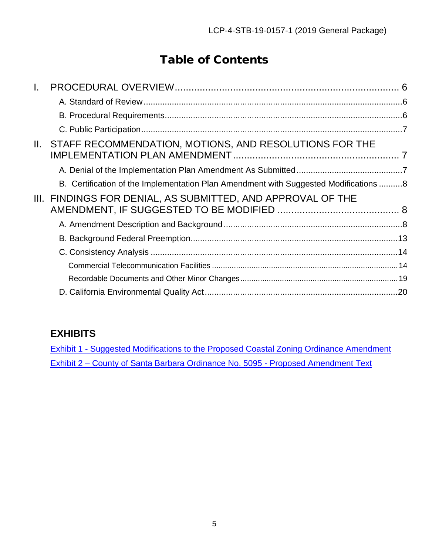# Table of Contents

| STAFF RECOMMENDATION, MOTIONS, AND RESOLUTIONS FOR THE<br>II. |                                                                                      |
|---------------------------------------------------------------|--------------------------------------------------------------------------------------|
|                                                               |                                                                                      |
|                                                               |                                                                                      |
| III. FINDINGS FOR DENIAL, AS SUBMITTED, AND APPROVAL OF THE   |                                                                                      |
|                                                               |                                                                                      |
|                                                               |                                                                                      |
|                                                               |                                                                                      |
|                                                               |                                                                                      |
|                                                               |                                                                                      |
|                                                               |                                                                                      |
|                                                               | B. Certification of the Implementation Plan Amendment with Suggested Modifications 8 |

## **EXHIBITS**

[Exhibit 1 - Suggested Modifications to the Proposed Coastal Zoning Ordinance Amendment](https://documents.coastal.ca.gov/reports/2020/12/Th9a/Th9a-12-2020-exhibits.pdf) Exhibit 2 – County of Santa Barbara Ordinance No. 5095 - Proposed Amendment Text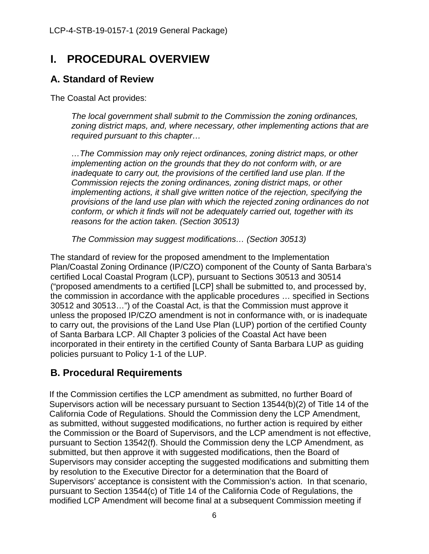## <span id="page-5-0"></span>**I. PROCEDURAL OVERVIEW**

### <span id="page-5-1"></span>**A. Standard of Review**

The Coastal Act provides:

*The local government shall submit to the Commission the zoning ordinances, zoning district maps, and, where necessary, other implementing actions that are required pursuant to this chapter…*

*…The Commission may only reject ordinances, zoning district maps, or other implementing action on the grounds that they do not conform with, or are inadequate to carry out, the provisions of the certified land use plan. If the Commission rejects the zoning ordinances, zoning district maps, or other implementing actions, it shall give written notice of the rejection, specifying the provisions of the land use plan with which the rejected zoning ordinances do not conform, or which it finds will not be adequately carried out, together with its reasons for the action taken. (Section 30513)*

*The Commission may suggest modifications… (Section 30513)*

The standard of review for the proposed amendment to the Implementation Plan/Coastal Zoning Ordinance (IP/CZO) component of the County of Santa Barbara's certified Local Coastal Program (LCP), pursuant to Sections 30513 and 30514 ("proposed amendments to a certified [LCP] shall be submitted to, and processed by, the commission in accordance with the applicable procedures … specified in Sections 30512 and 30513…") of the Coastal Act, is that the Commission must approve it unless the proposed IP/CZO amendment is not in conformance with, or is inadequate to carry out, the provisions of the Land Use Plan (LUP) portion of the certified County of Santa Barbara LCP. All Chapter 3 policies of the Coastal Act have been incorporated in their entirety in the certified County of Santa Barbara LUP as guiding policies pursuant to Policy 1-1 of the LUP.

### <span id="page-5-2"></span>**B. Procedural Requirements**

If the Commission certifies the LCP amendment as submitted, no further Board of Supervisors action will be necessary pursuant to Section 13544(b)(2) of Title 14 of the California Code of Regulations. Should the Commission deny the LCP Amendment, as submitted, without suggested modifications, no further action is required by either the Commission or the Board of Supervisors, and the LCP amendment is not effective, pursuant to Section 13542(f). Should the Commission deny the LCP Amendment, as submitted, but then approve it with suggested modifications, then the Board of Supervisors may consider accepting the suggested modifications and submitting them by resolution to the Executive Director for a determination that the Board of Supervisors' acceptance is consistent with the Commission's action. In that scenario, pursuant to Section 13544(c) of Title 14 of the California Code of Regulations, the modified LCP Amendment will become final at a subsequent Commission meeting if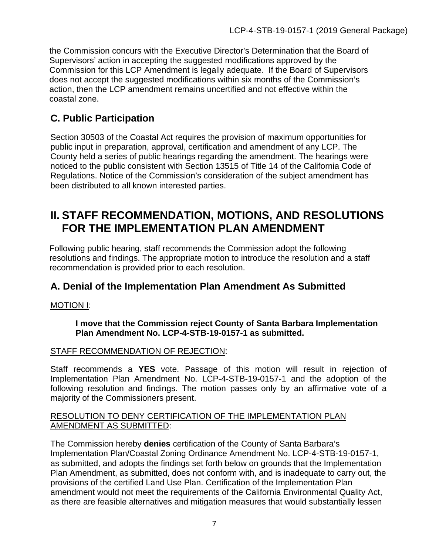the Commission concurs with the Executive Director's Determination that the Board of Supervisors' action in accepting the suggested modifications approved by the Commission for this LCP Amendment is legally adequate. If the Board of Supervisors does not accept the suggested modifications within six months of the Commission's action, then the LCP amendment remains uncertified and not effective within the coastal zone.

### <span id="page-6-0"></span>**C. Public Participation**

Section 30503 of the Coastal Act requires the provision of maximum opportunities for public input in preparation, approval, certification and amendment of any LCP. The County held a series of public hearings regarding the amendment. The hearings were noticed to the public consistent with Section 13515 of Title 14 of the California Code of Regulations. Notice of the Commission's consideration of the subject amendment has been distributed to all known interested parties.

## <span id="page-6-1"></span>**II. STAFF RECOMMENDATION, MOTIONS, AND RESOLUTIONS FOR THE IMPLEMENTATION PLAN AMENDMENT**

Following public hearing, staff recommends the Commission adopt the following resolutions and findings. The appropriate motion to introduce the resolution and a staff recommendation is provided prior to each resolution.

### <span id="page-6-2"></span>**A. Denial of the Implementation Plan Amendment As Submitted**

#### MOTION I:

#### **I move that the Commission reject County of Santa Barbara Implementation Plan Amendment No. LCP-4-STB-19-0157-1 as submitted.**

#### STAFF RECOMMENDATION OF REJECTION:

Staff recommends a **YES** vote. Passage of this motion will result in rejection of Implementation Plan Amendment No. LCP-4-STB-19-0157-1 and the adoption of the following resolution and findings. The motion passes only by an affirmative vote of a majority of the Commissioners present.

#### RESOLUTION TO DENY CERTIFICATION OF THE IMPLEMENTATION PLAN AMENDMENT AS SUBMITTED:

The Commission hereby **denies** certification of the County of Santa Barbara's Implementation Plan/Coastal Zoning Ordinance Amendment No. LCP-4-STB-19-0157-1, as submitted, and adopts the findings set forth below on grounds that the Implementation Plan Amendment, as submitted, does not conform with, and is inadequate to carry out, the provisions of the certified Land Use Plan. Certification of the Implementation Plan amendment would not meet the requirements of the California Environmental Quality Act, as there are feasible alternatives and mitigation measures that would substantially lessen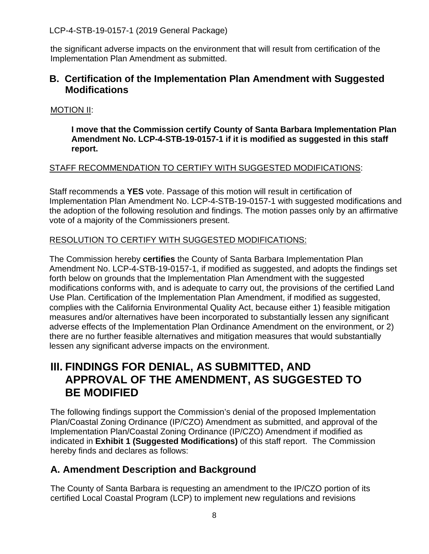the significant adverse impacts on the environment that will result from certification of the Implementation Plan Amendment as submitted.

### <span id="page-7-0"></span>**B. Certification of the Implementation Plan Amendment with Suggested Modifications**

#### MOTION II:

**I move that the Commission certify County of Santa Barbara Implementation Plan Amendment No. LCP-4-STB-19-0157-1 if it is modified as suggested in this staff report.**

#### STAFF RECOMMENDATION TO CERTIFY WITH SUGGESTED MODIFICATIONS:

Staff recommends a **YES** vote. Passage of this motion will result in certification of Implementation Plan Amendment No. LCP-4-STB-19-0157-1 with suggested modifications and the adoption of the following resolution and findings. The motion passes only by an affirmative vote of a majority of the Commissioners present.

#### RESOLUTION TO CERTIFY WITH SUGGESTED MODIFICATIONS:

The Commission hereby **certifies** the County of Santa Barbara Implementation Plan Amendment No. LCP-4-STB-19-0157-1, if modified as suggested, and adopts the findings set forth below on grounds that the Implementation Plan Amendment with the suggested modifications conforms with, and is adequate to carry out, the provisions of the certified Land Use Plan. Certification of the Implementation Plan Amendment, if modified as suggested, complies with the California Environmental Quality Act, because either 1) feasible mitigation measures and/or alternatives have been incorporated to substantially lessen any significant adverse effects of the Implementation Plan Ordinance Amendment on the environment, or 2) there are no further feasible alternatives and mitigation measures that would substantially lessen any significant adverse impacts on the environment.

## <span id="page-7-1"></span>**III. FINDINGS FOR DENIAL, AS SUBMITTED, AND APPROVAL OF THE AMENDMENT, AS SUGGESTED TO BE MODIFIED**

The following findings support the Commission's denial of the proposed Implementation Plan/Coastal Zoning Ordinance (IP/CZO) Amendment as submitted, and approval of the Implementation Plan/Coastal Zoning Ordinance (IP/CZO) Amendment if modified as indicated in **[Exhibit 1 \(Suggested Modifications\)](https://documents.coastal.ca.gov/reports/2020/12/Th9a/Th9a-12-2020-exhibits.pdf)** of this staff report. The Commission hereby finds and declares as follows:

### <span id="page-7-2"></span>**A. Amendment Description and Background**

The County of Santa Barbara is requesting an amendment to the IP/CZO portion of its certified Local Coastal Program (LCP) to implement new regulations and revisions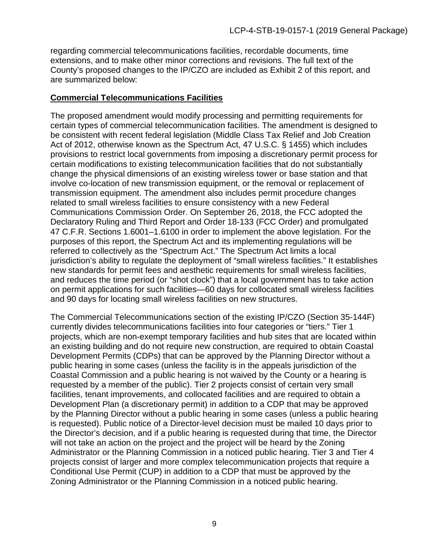regarding commercial telecommunications facilities, recordable documents, time extensions, and to make other minor corrections and revisions. The full text of the County's proposed changes to the IP/CZO are included as [Exhibit 2](https://documents.coastal.ca.gov/reports/2020/12/Th9a/Th9a-12-2020-exhibits.pdf) of this report, and are summarized below:

#### **Commercial Telecommunications Facilities**

The proposed amendment would modify processing and permitting requirements for certain types of commercial telecommunication facilities. The amendment is designed to be consistent with recent federal legislation (Middle Class Tax Relief and Job Creation Act of 2012, otherwise known as the Spectrum Act, 47 U.S.C. § 1455) which includes provisions to restrict local governments from imposing a discretionary permit process for certain modifications to existing telecommunication facilities that do not substantially change the physical dimensions of an existing wireless tower or base station and that involve co-location of new transmission equipment, or the removal or replacement of transmission equipment. The amendment also includes permit procedure changes related to small wireless facilities to ensure consistency with a new Federal Communications Commission Order. On September 26, 2018, the FCC adopted the Declaratory Ruling and Third Report and Order 18-133 (FCC Order) and promulgated 47 C.F.R. Sections 1.6001–1.6100 in order to implement the above legislation. For the purposes of this report, the Spectrum Act and its implementing regulations will be referred to collectively as the "Spectrum Act." The Spectrum Act limits a local jurisdiction's ability to regulate the deployment of "small wireless facilities." It establishes new standards for permit fees and aesthetic requirements for small wireless facilities, and reduces the time period (or "shot clock") that a local government has to take action on permit applications for such facilities—60 days for collocated small wireless facilities and 90 days for locating small wireless facilities on new structures.

The Commercial Telecommunications section of the existing IP/CZO (Section 35-144F) currently divides telecommunications facilities into four categories or "tiers." Tier 1 projects, which are non-exempt temporary facilities and hub sites that are located within an existing building and do not require new construction, are required to obtain Coastal Development Permits (CDPs) that can be approved by the Planning Director without a public hearing in some cases (unless the facility is in the appeals jurisdiction of the Coastal Commission and a public hearing is not waived by the County or a hearing is requested by a member of the public). Tier 2 projects consist of certain very small facilities, tenant improvements, and collocated facilities and are required to obtain a Development Plan (a discretionary permit) in addition to a CDP that may be approved by the Planning Director without a public hearing in some cases (unless a public hearing is requested). Public notice of a Director-level decision must be mailed 10 days prior to the Director's decision, and if a public hearing is requested during that time, the Director will not take an action on the project and the project will be heard by the Zoning Administrator or the Planning Commission in a noticed public hearing. Tier 3 and Tier 4 projects consist of larger and more complex telecommunication projects that require a Conditional Use Permit (CUP) in addition to a CDP that must be approved by the Zoning Administrator or the Planning Commission in a noticed public hearing.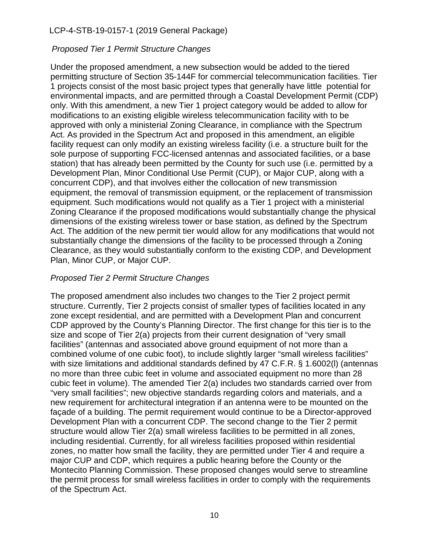#### *Proposed Tier 1 Permit Structure Changes*

Under the proposed amendment, a new subsection would be added to the tiered permitting structure of Section 35-144F for commercial telecommunication facilities. Tier 1 projects consist of the most basic project types that generally have little potential for environmental impacts, and are permitted through a Coastal Development Permit (CDP) only. With this amendment, a new Tier 1 project category would be added to allow for modifications to an existing eligible wireless telecommunication facility with to be approved with only a ministerial Zoning Clearance, in compliance with the Spectrum Act. As provided in the Spectrum Act and proposed in this amendment, an eligible facility request can only modify an existing wireless facility (i.e. a structure built for the sole purpose of supporting FCC-licensed antennas and associated facilities, or a base station) that has already been permitted by the County for such use (i.e. permitted by a Development Plan, Minor Conditional Use Permit (CUP), or Major CUP, along with a concurrent CDP), and that involves either the collocation of new transmission equipment, the removal of transmission equipment, or the replacement of transmission equipment. Such modifications would not qualify as a Tier 1 project with a ministerial Zoning Clearance if the proposed modifications would substantially change the physical dimensions of the existing wireless tower or base station, as defined by the Spectrum Act. The addition of the new permit tier would allow for any modifications that would not substantially change the dimensions of the facility to be processed through a Zoning Clearance, as they would substantially conform to the existing CDP, and Development Plan, Minor CUP, or Major CUP.

#### *Proposed Tier 2 Permit Structure Changes*

The proposed amendment also includes two changes to the Tier 2 project permit structure. Currently, Tier 2 projects consist of smaller types of facilities located in any zone except residential, and are permitted with a Development Plan and concurrent CDP approved by the County's Planning Director. The first change for this tier is to the size and scope of Tier 2(a) projects from their current designation of "very small facilities" (antennas and associated above ground equipment of not more than a combined volume of one cubic foot), to include slightly larger "small wireless facilities" with size limitations and additional standards defined by 47 C.F.R. § 1.6002(I) (antennas no more than three cubic feet in volume and associated equipment no more than 28 cubic feet in volume). The amended Tier 2(a) includes two standards carried over from "very small facilities"; new objective standards regarding colors and materials, and a new requirement for architectural integration if an antenna were to be mounted on the façade of a building. The permit requirement would continue to be a Director-approved Development Plan with a concurrent CDP. The second change to the Tier 2 permit structure would allow Tier 2(a) small wireless facilities to be permitted in all zones, including residential. Currently, for all wireless facilities proposed within residential zones, no matter how small the facility, they are permitted under Tier 4 and require a major CUP and CDP, which requires a public hearing before the County or the Montecito Planning Commission. These proposed changes would serve to streamline the permit process for small wireless facilities in order to comply with the requirements of the Spectrum Act.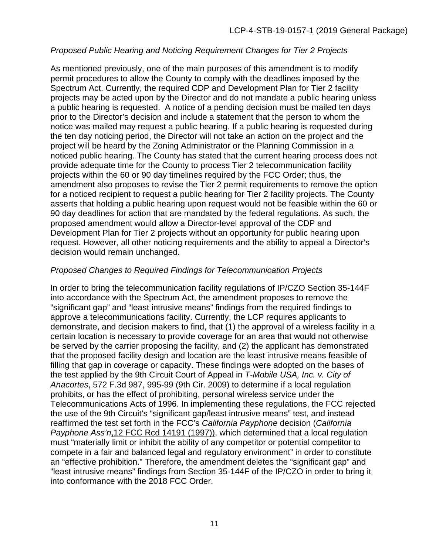#### *Proposed Public Hearing and Noticing Requirement Changes for Tier 2 Projects*

As mentioned previously, one of the main purposes of this amendment is to modify permit procedures to allow the County to comply with the deadlines imposed by the Spectrum Act. Currently, the required CDP and Development Plan for Tier 2 facility projects may be acted upon by the Director and do not mandate a public hearing unless a public hearing is requested. A notice of a pending decision must be mailed ten days prior to the Director's decision and include a statement that the person to whom the notice was mailed may request a public hearing. If a public hearing is requested during the ten day noticing period, the Director will not take an action on the project and the project will be heard by the Zoning Administrator or the Planning Commission in a noticed public hearing. The County has stated that the current hearing process does not provide adequate time for the County to process Tier 2 telecommunication facility projects within the 60 or 90 day timelines required by the FCC Order; thus, the amendment also proposes to revise the Tier 2 permit requirements to remove the option for a noticed recipient to request a public hearing for Tier 2 facility projects. The County asserts that holding a public hearing upon request would not be feasible within the 60 or 90 day deadlines for action that are mandated by the federal regulations. As such, the proposed amendment would allow a Director-level approval of the CDP and Development Plan for Tier 2 projects without an opportunity for public hearing upon request. However, all other noticing requirements and the ability to appeal a Director's decision would remain unchanged.

#### *Proposed Changes to Required Findings for Telecommunication Projects*

In order to bring the telecommunication facility regulations of IP/CZO Section 35-144F into accordance with the Spectrum Act, the amendment proposes to remove the "significant gap" and "least intrusive means" findings from the required findings to approve a telecommunications facility. Currently, the LCP requires applicants to demonstrate, and decision makers to find, that (1) the approval of a wireless facility in a certain location is necessary to provide coverage for an area that would not otherwise be served by the carrier proposing the facility, and (2) the applicant has demonstrated that the proposed facility design and location are the least intrusive means feasible of filling that gap in coverage or capacity. These findings were adopted on the bases of the test applied by the 9th Circuit Court of Appeal in *T-Mobile USA, Inc. v. City of Anacortes*, 572 F.3d 987, 995-99 (9th Cir. 2009) to determine if a local regulation prohibits, or has the effect of prohibiting, personal wireless service under the Telecommunications Acts of 1996. In implementing these regulations, the FCC rejected the use of the 9th Circuit's "significant gap/least intrusive means" test, and instead reaffirmed the test set forth in the FCC's *California Payphone* decision (*California Payphone Ass'n*,12 FCC Rcd 14191 (1997)), which determined that a local regulation must "materially limit or inhibit the ability of any competitor or potential competitor to compete in a fair and balanced legal and regulatory environment" in order to constitute an "effective prohibition." Therefore, the amendment deletes the "significant gap" and "least intrusive means" findings from Section 35-144F of the IP/CZO in order to bring it into conformance with the 2018 FCC Order.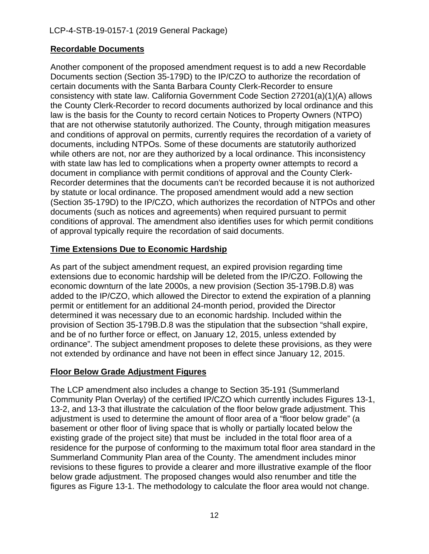### **Recordable Documents**

Another component of the proposed amendment request is to add a new Recordable Documents section (Section 35-179D) to the IP/CZO to authorize the recordation of certain documents with the Santa Barbara County Clerk-Recorder to ensure consistency with state law. California Government Code Section 27201(a)(1)(A) allows the County Clerk-Recorder to record documents authorized by local ordinance and this law is the basis for the County to record certain Notices to Property Owners (NTPO) that are not otherwise statutorily authorized. The County, through mitigation measures and conditions of approval on permits, currently requires the recordation of a variety of documents, including NTPOs. Some of these documents are statutorily authorized while others are not, nor are they authorized by a local ordinance. This inconsistency with state law has led to complications when a property owner attempts to record a document in compliance with permit conditions of approval and the County Clerk-Recorder determines that the documents can't be recorded because it is not authorized by statute or local ordinance. The proposed amendment would add a new section (Section 35-179D) to the IP/CZO, which authorizes the recordation of NTPOs and other documents (such as notices and agreements) when required pursuant to permit conditions of approval. The amendment also identifies uses for which permit conditions of approval typically require the recordation of said documents.

#### **Time Extensions Due to Economic Hardship**

As part of the subject amendment request, an expired provision regarding time extensions due to economic hardship will be deleted from the IP/CZO. Following the economic downturn of the late 2000s, a new provision (Section 35-179B.D.8) was added to the IP/CZO, which allowed the Director to extend the expiration of a planning permit or entitlement for an additional 24-month period, provided the Director determined it was necessary due to an economic hardship. Included within the provision of Section 35-179B.D.8 was the stipulation that the subsection "shall expire, and be of no further force or effect, on January 12, 2015, unless extended by ordinance". The subject amendment proposes to delete these provisions, as they were not extended by ordinance and have not been in effect since January 12, 2015.

#### **Floor Below Grade Adjustment Figures**

The LCP amendment also includes a change to Section 35-191 (Summerland Community Plan Overlay) of the certified IP/CZO which currently includes Figures 13-1, 13-2, and 13-3 that illustrate the calculation of the floor below grade adjustment. This adjustment is used to determine the amount of floor area of a "floor below grade" (a basement or other floor of living space that is wholly or partially located below the existing grade of the project site) that must be included in the total floor area of a residence for the purpose of conforming to the maximum total floor area standard in the Summerland Community Plan area of the County. The amendment includes minor revisions to these figures to provide a clearer and more illustrative example of the floor below grade adjustment. The proposed changes would also renumber and title the figures as Figure 13-1. The methodology to calculate the floor area would not change.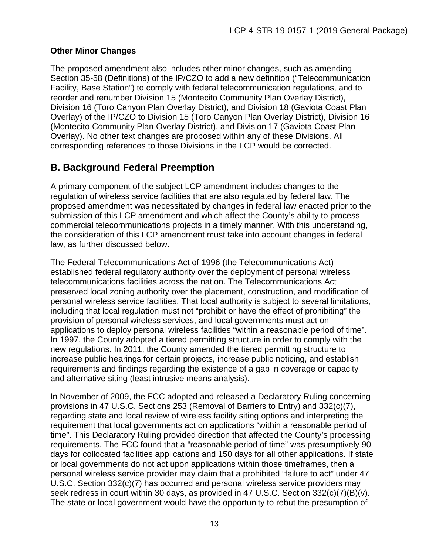#### **Other Minor Changes**

The proposed amendment also includes other minor changes, such as amending Section 35-58 (Definitions) of the IP/CZO to add a new definition ("Telecommunication Facility, Base Station") to comply with federal telecommunication regulations, and to reorder and renumber Division 15 (Montecito Community Plan Overlay District), Division 16 (Toro Canyon Plan Overlay District), and Division 18 (Gaviota Coast Plan Overlay) of the IP/CZO to Division 15 (Toro Canyon Plan Overlay District), Division 16 (Montecito Community Plan Overlay District), and Division 17 (Gaviota Coast Plan Overlay). No other text changes are proposed within any of these Divisions. All corresponding references to those Divisions in the LCP would be corrected.

### <span id="page-12-0"></span>**B. Background Federal Preemption**

A primary component of the subject LCP amendment includes changes to the regulation of wireless service facilities that are also regulated by federal law. The proposed amendment was necessitated by changes in federal law enacted prior to the submission of this LCP amendment and which affect the County's ability to process commercial telecommunications projects in a timely manner. With this understanding, the consideration of this LCP amendment must take into account changes in federal law, as further discussed below.

The Federal Telecommunications Act of 1996 (the Telecommunications Act) established federal regulatory authority over the deployment of personal wireless telecommunications facilities across the nation. The Telecommunications Act preserved local zoning authority over the placement, construction, and modification of personal wireless service facilities. That local authority is subject to several limitations, including that local regulation must not "prohibit or have the effect of prohibiting" the provision of personal wireless services, and local governments must act on applications to deploy personal wireless facilities "within a reasonable period of time". In 1997, the County adopted a tiered permitting structure in order to comply with the new regulations. In 2011, the County amended the tiered permitting structure to increase public hearings for certain projects, increase public noticing, and establish requirements and findings regarding the existence of a gap in coverage or capacity and alternative siting (least intrusive means analysis).

In November of 2009, the FCC adopted and released a Declaratory Ruling concerning provisions in 47 U.S.C. Sections 253 (Removal of Barriers to Entry) and 332(c)(7), regarding state and local review of wireless facility siting options and interpreting the requirement that local governments act on applications "within a reasonable period of time". This Declaratory Ruling provided direction that affected the County's processing requirements. The FCC found that a "reasonable period of time" was presumptively 90 days for collocated facilities applications and 150 days for all other applications. If state or local governments do not act upon applications within those timeframes, then a personal wireless service provider may claim that a prohibited "failure to act" under 47 U.S.C. Section 332(c)(7) has occurred and personal wireless service providers may seek redress in court within 30 days, as provided in 47 U.S.C. Section 332(c)(7)(B)(v). The state or local government would have the opportunity to rebut the presumption of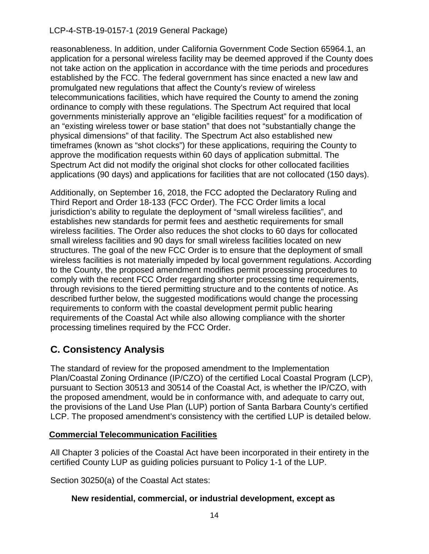reasonableness. In addition, under California Government Code Section 65964.1, an application for a personal wireless facility may be deemed approved if the County does not take action on the application in accordance with the time periods and procedures established by the FCC. The federal government has since enacted a new law and promulgated new regulations that affect the County's review of wireless telecommunications facilities, which have required the County to amend the zoning ordinance to comply with these regulations. The Spectrum Act required that local governments ministerially approve an "eligible facilities request" for a modification of an "existing wireless tower or base station" that does not "substantially change the physical dimensions" of that facility. The Spectrum Act also established new timeframes (known as "shot clocks") for these applications, requiring the County to approve the modification requests within 60 days of application submittal. The Spectrum Act did not modify the original shot clocks for other collocated facilities applications (90 days) and applications for facilities that are not collocated (150 days).

Additionally, on September 16, 2018, the FCC adopted the Declaratory Ruling and Third Report and Order 18-133 (FCC Order). The FCC Order limits a local jurisdiction's ability to regulate the deployment of "small wireless facilities", and establishes new standards for permit fees and aesthetic requirements for small wireless facilities. The Order also reduces the shot clocks to 60 days for collocated small wireless facilities and 90 days for small wireless facilities located on new structures. The goal of the new FCC Order is to ensure that the deployment of small wireless facilities is not materially impeded by local government regulations. According to the County, the proposed amendment modifies permit processing procedures to comply with the recent FCC Order regarding shorter processing time requirements, through revisions to the tiered permitting structure and to the contents of notice. As described further below, the suggested modifications would change the processing requirements to conform with the coastal development permit public hearing requirements of the Coastal Act while also allowing compliance with the shorter processing timelines required by the FCC Order.

## <span id="page-13-0"></span>**C. Consistency Analysis**

The standard of review for the proposed amendment to the Implementation Plan/Coastal Zoning Ordinance (IP/CZO) of the certified Local Coastal Program (LCP), pursuant to Section 30513 and 30514 of the Coastal Act, is whether the IP/CZO, with the proposed amendment, would be in conformance with, and adequate to carry out, the provisions of the Land Use Plan (LUP) portion of Santa Barbara County's certified LCP. The proposed amendment's consistency with the certified LUP is detailed below.

#### <span id="page-13-1"></span>**Commercial Telecommunication Facilities**

All Chapter 3 policies of the Coastal Act have been incorporated in their entirety in the certified County LUP as guiding policies pursuant to Policy 1-1 of the LUP.

Section 30250(a) of the Coastal Act states:

#### **New residential, commercial, or industrial development, except as**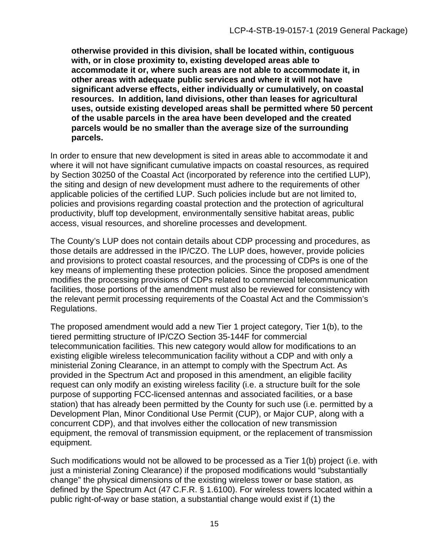**otherwise provided in this division, shall be located within, contiguous with, or in close proximity to, existing developed areas able to accommodate it or, where such areas are not able to accommodate it, in other areas with adequate public services and where it will not have significant adverse effects, either individually or cumulatively, on coastal resources. In addition, land divisions, other than leases for agricultural uses, outside existing developed areas shall be permitted where 50 percent of the usable parcels in the area have been developed and the created parcels would be no smaller than the average size of the surrounding parcels.**

In order to ensure that new development is sited in areas able to accommodate it and where it will not have significant cumulative impacts on coastal resources, as required by Section 30250 of the Coastal Act (incorporated by reference into the certified LUP), the siting and design of new development must adhere to the requirements of other applicable policies of the certified LUP. Such policies include but are not limited to, policies and provisions regarding coastal protection and the protection of agricultural productivity, bluff top development, environmentally sensitive habitat areas, public access, visual resources, and shoreline processes and development.

The County's LUP does not contain details about CDP processing and procedures, as those details are addressed in the IP/CZO. The LUP does, however, provide policies and provisions to protect coastal resources, and the processing of CDPs is one of the key means of implementing these protection policies. Since the proposed amendment modifies the processing provisions of CDPs related to commercial telecommunication facilities, those portions of the amendment must also be reviewed for consistency with the relevant permit processing requirements of the Coastal Act and the Commission's Regulations.

The proposed amendment would add a new Tier 1 project category, Tier 1(b), to the tiered permitting structure of IP/CZO Section 35-144F for commercial telecommunication facilities. This new category would allow for modifications to an existing eligible wireless telecommunication facility without a CDP and with only a ministerial Zoning Clearance, in an attempt to comply with the Spectrum Act. As provided in the Spectrum Act and proposed in this amendment, an eligible facility request can only modify an existing wireless facility (i.e. a structure built for the sole purpose of supporting FCC-licensed antennas and associated facilities, or a base station) that has already been permitted by the County for such use (i.e. permitted by a Development Plan, Minor Conditional Use Permit (CUP), or Major CUP, along with a concurrent CDP), and that involves either the collocation of new transmission equipment, the removal of transmission equipment, or the replacement of transmission equipment.

Such modifications would not be allowed to be processed as a Tier 1(b) project (i.e. with just a ministerial Zoning Clearance) if the proposed modifications would "substantially change" the physical dimensions of the existing wireless tower or base station, as defined by the Spectrum Act (47 C.F.R. § 1.6100). For wireless towers located within a public right-of-way or base station, a substantial change would exist if (1) the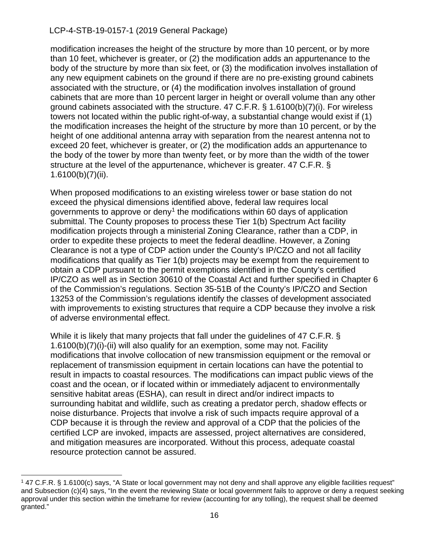modification increases the height of the structure by more than 10 percent, or by more than 10 feet, whichever is greater, or (2) the modification adds an appurtenance to the body of the structure by more than six feet, or (3) the modification involves installation of any new equipment cabinets on the ground if there are no pre-existing ground cabinets associated with the structure, or (4) the modification involves installation of ground cabinets that are more than 10 percent larger in height or overall volume than any other ground cabinets associated with the structure. 47 C.F.R. § 1.6100(b)(7)(i). For wireless towers not located within the public right-of-way, a substantial change would exist if (1) the modification increases the height of the structure by more than 10 percent, or by the height of one additional antenna array with separation from the nearest antenna not to exceed 20 feet, whichever is greater, or (2) the modification adds an appurtenance to the body of the tower by more than twenty feet, or by more than the width of the tower structure at the level of the appurtenance, whichever is greater. 47 C.F.R. §  $1.6100(b)(7)(ii)$ .

When proposed modifications to an existing wireless tower or base station do not exceed the physical dimensions identified above, federal law requires local governments to approve or deny<sup>[1](#page-15-0)</sup> the modifications within 60 days of application submittal. The County proposes to process these Tier 1(b) Spectrum Act facility modification projects through a ministerial Zoning Clearance, rather than a CDP, in order to expedite these projects to meet the federal deadline. However, a Zoning Clearance is not a type of CDP action under the County's IP/CZO and not all facility modifications that qualify as Tier 1(b) projects may be exempt from the requirement to obtain a CDP pursuant to the permit exemptions identified in the County's certified IP/CZO as well as in Section 30610 of the Coastal Act and further specified in Chapter 6 of the Commission's regulations. Section 35-51B of the County's IP/CZO and Section 13253 of the Commission's regulations identify the classes of development associated with improvements to existing structures that require a CDP because they involve a risk of adverse environmental effect.

While it is likely that many projects that fall under the guidelines of 47 C.F.R. § 1.6100(b)(7)(i)-(ii) will also qualify for an exemption, some may not. Facility modifications that involve collocation of new transmission equipment or the removal or replacement of transmission equipment in certain locations can have the potential to result in impacts to coastal resources. The modifications can impact public views of the coast and the ocean, or if located within or immediately adjacent to environmentally sensitive habitat areas (ESHA), can result in direct and/or indirect impacts to surrounding habitat and wildlife, such as creating a predator perch, shadow effects or noise disturbance. Projects that involve a risk of such impacts require approval of a CDP because it is through the review and approval of a CDP that the policies of the certified LCP are invoked, impacts are assessed, project alternatives are considered, and mitigation measures are incorporated. Without this process, adequate coastal resource protection cannot be assured.

<span id="page-15-0"></span><sup>1</sup> 47 C.F.R. § 1.6100(c) says, "A State or local government may not deny and shall approve any eligible facilities request" and Subsection (c)(4) says, "In the event the reviewing State or local government fails to approve or deny a request seeking approval under this section within the timeframe for review (accounting for any tolling), the request shall be deemed granted."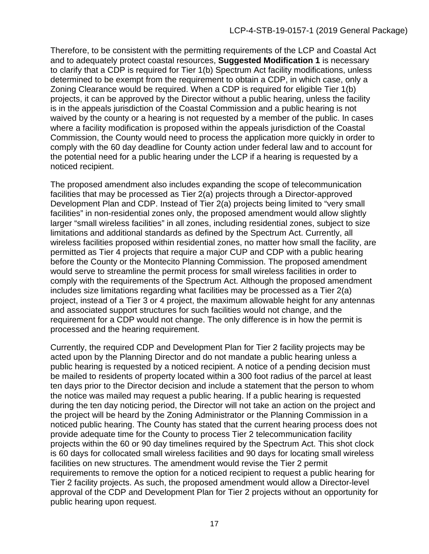Therefore, to be consistent with the permitting requirements of the LCP and Coastal Act and to adequately protect coastal resources, **Suggested Modification 1** is necessary to clarify that a CDP is required for Tier 1(b) Spectrum Act facility modifications, unless determined to be exempt from the requirement to obtain a CDP, in which case, only a Zoning Clearance would be required. When a CDP is required for eligible Tier 1(b) projects, it can be approved by the Director without a public hearing, unless the facility is in the appeals jurisdiction of the Coastal Commission and a public hearing is not waived by the county or a hearing is not requested by a member of the public. In cases where a facility modification is proposed within the appeals jurisdiction of the Coastal Commission, the County would need to process the application more quickly in order to comply with the 60 day deadline for County action under federal law and to account for the potential need for a public hearing under the LCP if a hearing is requested by a noticed recipient.

The proposed amendment also includes expanding the scope of telecommunication facilities that may be processed as Tier 2(a) projects through a Director-approved Development Plan and CDP. Instead of Tier 2(a) projects being limited to "very small facilities" in non-residential zones only, the proposed amendment would allow slightly larger "small wireless facilities" in all zones, including residential zones, subject to size limitations and additional standards as defined by the Spectrum Act. Currently, all wireless facilities proposed within residential zones, no matter how small the facility, are permitted as Tier 4 projects that require a major CUP and CDP with a public hearing before the County or the Montecito Planning Commission. The proposed amendment would serve to streamline the permit process for small wireless facilities in order to comply with the requirements of the Spectrum Act. Although the proposed amendment includes size limitations regarding what facilities may be processed as a Tier 2(a) project, instead of a Tier 3 or 4 project, the maximum allowable height for any antennas and associated support structures for such facilities would not change, and the requirement for a CDP would not change. The only difference is in how the permit is processed and the hearing requirement.

Currently, the required CDP and Development Plan for Tier 2 facility projects may be acted upon by the Planning Director and do not mandate a public hearing unless a public hearing is requested by a noticed recipient. A notice of a pending decision must be mailed to residents of property located within a 300 foot radius of the parcel at least ten days prior to the Director decision and include a statement that the person to whom the notice was mailed may request a public hearing. If a public hearing is requested during the ten day noticing period, the Director will not take an action on the project and the project will be heard by the Zoning Administrator or the Planning Commission in a noticed public hearing. The County has stated that the current hearing process does not provide adequate time for the County to process Tier 2 telecommunication facility projects within the 60 or 90 day timelines required by the Spectrum Act. This shot clock is 60 days for collocated small wireless facilities and 90 days for locating small wireless facilities on new structures. The amendment would revise the Tier 2 permit requirements to remove the option for a noticed recipient to request a public hearing for Tier 2 facility projects. As such, the proposed amendment would allow a Director-level approval of the CDP and Development Plan for Tier 2 projects without an opportunity for public hearing upon request.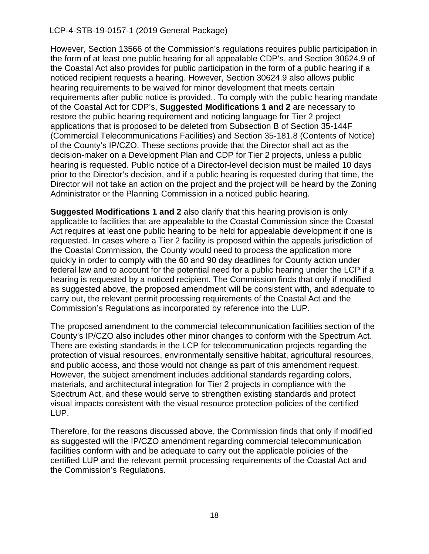However, Section 13566 of the Commission's regulations requires public participation in the form of at least one public hearing for all appealable CDP's, and Section 30624.9 of the Coastal Act also provides for public participation in the form of a public hearing if a noticed recipient requests a hearing. However, Section 30624.9 also allows public hearing requirements to be waived for minor development that meets certain requirements after public notice is provided.. To comply with the public hearing mandate of the Coastal Act for CDP's, **Suggested Modifications 1 and 2** are necessary to restore the public hearing requirement and noticing language for Tier 2 project applications that is proposed to be deleted from Subsection B of Section 35-144F (Commercial Telecommunications Facilities) and Section 35-181.8 (Contents of Notice) of the County's IP/CZO. These sections provide that the Director shall act as the decision-maker on a Development Plan and CDP for Tier 2 projects, unless a public hearing is requested. Public notice of a Director-level decision must be mailed 10 days prior to the Director's decision, and if a public hearing is requested during that time, the Director will not take an action on the project and the project will be heard by the Zoning Administrator or the Planning Commission in a noticed public hearing.

**Suggested Modifications 1 and 2** also clarify that this hearing provision is only applicable to facilities that are appealable to the Coastal Commission since the Coastal Act requires at least one public hearing to be held for appealable development if one is requested. In cases where a Tier 2 facility is proposed within the appeals jurisdiction of the Coastal Commission, the County would need to process the application more quickly in order to comply with the 60 and 90 day deadlines for County action under federal law and to account for the potential need for a public hearing under the LCP if a hearing is requested by a noticed recipient. The Commission finds that only if modified as suggested above, the proposed amendment will be consistent with, and adequate to carry out, the relevant permit processing requirements of the Coastal Act and the Commission's Regulations as incorporated by reference into the LUP.

The proposed amendment to the commercial telecommunication facilities section of the County's IP/CZO also includes other minor changes to conform with the Spectrum Act. There are existing standards in the LCP for telecommunication projects regarding the protection of visual resources, environmentally sensitive habitat, agricultural resources, and public access, and those would not change as part of this amendment request. However, the subject amendment includes additional standards regarding colors, materials, and architectural integration for Tier 2 projects in compliance with the Spectrum Act, and these would serve to strengthen existing standards and protect visual impacts consistent with the visual resource protection policies of the certified LUP.

<span id="page-17-0"></span>Therefore, for the reasons discussed above, the Commission finds that only if modified as suggested will the IP/CZO amendment regarding commercial telecommunication facilities conform with and be adequate to carry out the applicable policies of the certified LUP and the relevant permit processing requirements of the Coastal Act and the Commission's Regulations.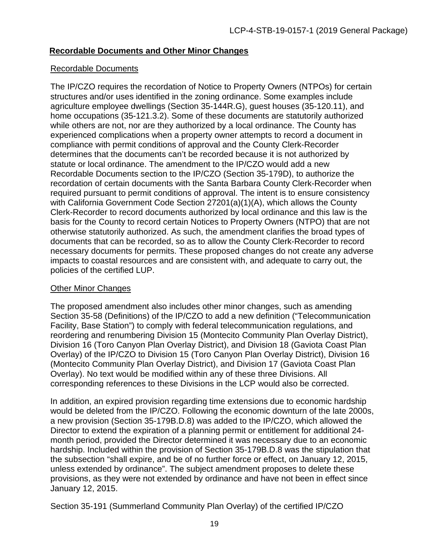#### **Recordable Documents and Other Minor Changes**

#### Recordable Documents

The IP/CZO requires the recordation of Notice to Property Owners (NTPOs) for certain structures and/or uses identified in the zoning ordinance. Some examples include agriculture employee dwellings (Section 35-144R.G), guest houses (35-120.11), and home occupations (35-121.3.2). Some of these documents are statutorily authorized while others are not, nor are they authorized by a local ordinance. The County has experienced complications when a property owner attempts to record a document in compliance with permit conditions of approval and the County Clerk-Recorder determines that the documents can't be recorded because it is not authorized by statute or local ordinance. The amendment to the IP/CZO would add a new Recordable Documents section to the IP/CZO (Section 35-179D), to authorize the recordation of certain documents with the Santa Barbara County Clerk-Recorder when required pursuant to permit conditions of approval. The intent is to ensure consistency with California Government Code Section 27201(a)(1)(A), which allows the County Clerk-Recorder to record documents authorized by local ordinance and this law is the basis for the County to record certain Notices to Property Owners (NTPO) that are not otherwise statutorily authorized. As such, the amendment clarifies the broad types of documents that can be recorded, so as to allow the County Clerk-Recorder to record necessary documents for permits. These proposed changes do not create any adverse impacts to coastal resources and are consistent with, and adequate to carry out, the policies of the certified LUP.

#### Other Minor Changes

The proposed amendment also includes other minor changes, such as amending Section 35-58 (Definitions) of the IP/CZO to add a new definition ("Telecommunication Facility, Base Station") to comply with federal telecommunication regulations, and reordering and renumbering Division 15 (Montecito Community Plan Overlay District), Division 16 (Toro Canyon Plan Overlay District), and Division 18 (Gaviota Coast Plan Overlay) of the IP/CZO to Division 15 (Toro Canyon Plan Overlay District), Division 16 (Montecito Community Plan Overlay District), and Division 17 (Gaviota Coast Plan Overlay). No text would be modified within any of these three Divisions. All corresponding references to these Divisions in the LCP would also be corrected.

In addition, an expired provision regarding time extensions due to economic hardship would be deleted from the IP/CZO. Following the economic downturn of the late 2000s, a new provision (Section 35-179B.D.8) was added to the IP/CZO, which allowed the Director to extend the expiration of a planning permit or entitlement for additional 24 month period, provided the Director determined it was necessary due to an economic hardship. Included within the provision of Section 35-179B.D.8 was the stipulation that the subsection "shall expire, and be of no further force or effect, on January 12, 2015, unless extended by ordinance". The subject amendment proposes to delete these provisions, as they were not extended by ordinance and have not been in effect since January 12, 2015.

Section 35-191 (Summerland Community Plan Overlay) of the certified IP/CZO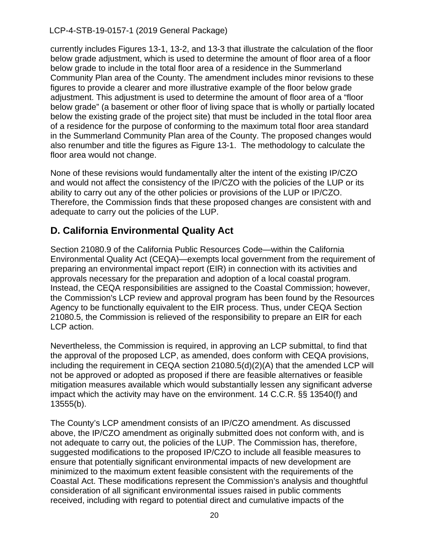currently includes Figures 13-1, 13-2, and 13-3 that illustrate the calculation of the floor below grade adjustment, which is used to determine the amount of floor area of a floor below grade to include in the total floor area of a residence in the Summerland Community Plan area of the County. The amendment includes minor revisions to these figures to provide a clearer and more illustrative example of the floor below grade adjustment. This adjustment is used to determine the amount of floor area of a "floor below grade" (a basement or other floor of living space that is wholly or partially located below the existing grade of the project site) that must be included in the total floor area of a residence for the purpose of conforming to the maximum total floor area standard in the Summerland Community Plan area of the County. The proposed changes would also renumber and title the figures as Figure 13-1. The methodology to calculate the floor area would not change.

None of these revisions would fundamentally alter the intent of the existing IP/CZO and would not affect the consistency of the IP/CZO with the policies of the LUP or its ability to carry out any of the other policies or provisions of the LUP or IP/CZO. Therefore, the Commission finds that these proposed changes are consistent with and adequate to carry out the policies of the LUP.

### <span id="page-19-0"></span>**D. California Environmental Quality Act**

Section 21080.9 of the California Public Resources Code—within the California Environmental Quality Act (CEQA)—exempts local government from the requirement of preparing an environmental impact report (EIR) in connection with its activities and approvals necessary for the preparation and adoption of a local coastal program. Instead, the CEQA responsibilities are assigned to the Coastal Commission; however, the Commission's LCP review and approval program has been found by the Resources Agency to be functionally equivalent to the EIR process. Thus, under CEQA Section 21080.5, the Commission is relieved of the responsibility to prepare an EIR for each LCP action.

Nevertheless, the Commission is required, in approving an LCP submittal, to find that the approval of the proposed LCP, as amended, does conform with CEQA provisions, including the requirement in CEQA section 21080.5(d)(2)(A) that the amended LCP will not be approved or adopted as proposed if there are feasible alternatives or feasible mitigation measures available which would substantially lessen any significant adverse impact which the activity may have on the environment. 14 C.C.R. §§ 13540(f) and 13555(b).

The County's LCP amendment consists of an IP/CZO amendment. As discussed above, the IP/CZO amendment as originally submitted does not conform with, and is not adequate to carry out, the policies of the LUP. The Commission has, therefore, suggested modifications to the proposed IP/CZO to include all feasible measures to ensure that potentially significant environmental impacts of new development are minimized to the maximum extent feasible consistent with the requirements of the Coastal Act. These modifications represent the Commission's analysis and thoughtful consideration of all significant environmental issues raised in public comments received, including with regard to potential direct and cumulative impacts of the